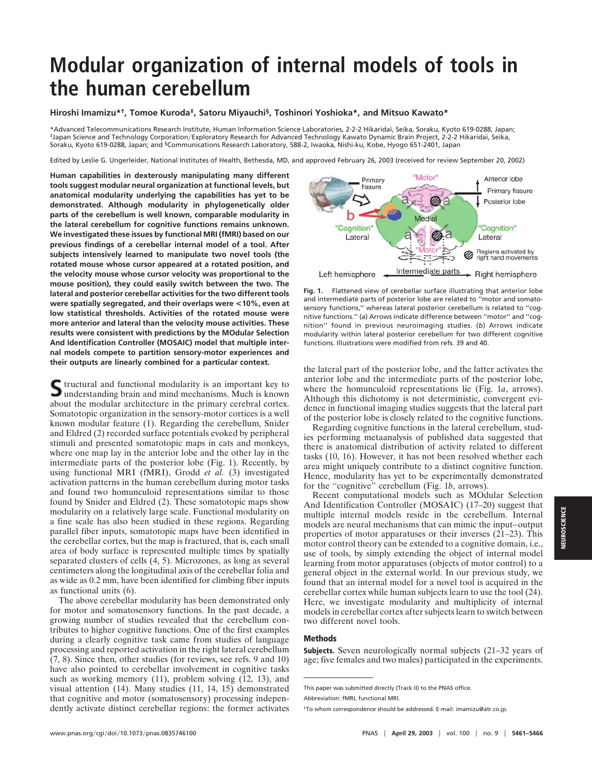# **Modular organization of internal models of tools in the human cerebellum**

## **Hiroshi Imamizu\*†, Tomoe Kuroda‡, Satoru Miyauchi§, Toshinori Yoshioka\*, and Mitsuo Kawato\***

\*Advanced Telecommunications Research Institute, Human Information Science Laboratories, 2-2-2 Hikaridai, Seika, Soraku, Kyoto 619-0288, Japan; ‡Japan Science and Technology CorporationExploratory Research for Advanced Technology Kawato Dynamic Brain Project, 2-2-2 Hikaridai, Seika, Soraku, Kyoto 619-0288, Japan; and §Communications Research Laboratory, 588-2, Iwaoka, Nishi-ku, Kobe, Hyogo 651-2401, Japan

Edited by Leslie G. Ungerleider, National Institutes of Health, Bethesda, MD, and approved February 26, 2003 (received for review September 20, 2002)

**Human capabilities in dexterously manipulating many different tools suggest modular neural organization at functional levels, but anatomical modularity underlying the capabilities has yet to be demonstrated. Although modularity in phylogenetically older parts of the cerebellum is well known, comparable modularity in the lateral cerebellum for cognitive functions remains unknown. We investigated these issues by functional MRI (fMRI) based on our previous findings of a cerebellar internal model of a tool. After subjects intensively learned to manipulate two novel tools (the rotated mouse whose cursor appeared at a rotated position, and the velocity mouse whose cursor velocity was proportional to the mouse position), they could easily switch between the two. The lateral and posterior cerebellar activities for the two different tools were spatially segregated, and their overlaps were <10%, even at low statistical thresholds. Activities of the rotated mouse were more anterior and lateral than the velocity mouse activities. These results were consistent with predictions by the MOdular Selection And Identification Controller (MOSAIC) model that multiple internal models compete to partition sensory-motor experiences and their outputs are linearly combined for a particular context.**

Surfactural and functional modularity is an important key to understanding brain and mind mechanisms. Much is known about the modular architecture in the primary cerebral cortex. Somatotopic organization in the sensory-motor cortices is a well known modular feature (1). Regarding the cerebellum, Snider and Eldred (2) recorded surface potentials evoked by peripheral stimuli and presented somatotopic maps in cats and monkeys, where one map lay in the anterior lobe and the other lay in the intermediate parts of the posterior lobe (Fig. 1). Recently, by using functional MRI (fMRI), Grodd *et al.* (3) investigated activation patterns in the human cerebellum during motor tasks and found two homunculoid representations similar to those found by Snider and Eldred (2). These somatotopic maps show modularity on a relatively large scale. Functional modularity on a fine scale has also been studied in these regions. Regarding parallel fiber inputs, somatotopic maps have been identified in the cerebellar cortex, but the map is fractured, that is, each small area of body surface is represented multiple times by spatially separated clusters of cells (4, 5). Microzones, as long as several centimeters along the longitudinal axis of the cerebellar folia and as wide as 0.2 mm, have been identified for climbing fiber inputs as functional units (6).

The above cerebellar modularity has been demonstrated only for motor and somatosensory functions. In the past decade, a growing number of studies revealed that the cerebellum contributes to higher cognitive functions. One of the first examples during a clearly cognitive task came from studies of language processing and reported activation in the right lateral cerebellum (7, 8). Since then, other studies (for reviews, see refs. 9 and 10) have also pointed to cerebellar involvement in cognitive tasks such as working memory (11), problem solving (12, 13), and visual attention (14). Many studies (11, 14, 15) demonstrated that cognitive and motor (somatosensory) processing independently activate distinct cerebellar regions: the former activates



**Fig. 1.** Flattened view of cerebellar surface illustrating that anterior lobe and intermediate parts of posterior lobe are related to ''motor and somatosensory functions,'' whereas lateral posterior cerebellum is related to ''cognitive functions.'' (*a*) Arrows indicate difference between ''motor'' and ''cognition'' found in previous neuroimaging studies. (*b*) Arrows indicate modularity within lateral posterior cerebellum for two different cognitive functions. Illustrations were modified from refs. 39 and 40.

the lateral part of the posterior lobe, and the latter activates the anterior lobe and the intermediate parts of the posterior lobe, where the homunculoid representations lie (Fig. 1*a*, arrows). Although this dichotomy is not deterministic, convergent evidence in functional imaging studies suggests that the lateral part of the posterior lobe is closely related to the cognitive functions.

Regarding cognitive functions in the lateral cerebellum, studies performing metaanalysis of published data suggested that there is anatomical distribution of activity related to different tasks (10, 16). However, it has not been resolved whether each area might uniquely contribute to a distinct cognitive function. Hence, modularity has yet to be experimentally demonstrated for the ''cognitive'' cerebellum (Fig. 1*b*, arrows).

Recent computational models such as MOdular Selection And Identification Controller (MOSAIC) (17–20) suggest that multiple internal models reside in the cerebellum. Internal models are neural mechanisms that can mimic the input–output properties of motor apparatuses or their inverses (21–23). This motor control theory can be extended to a cognitive domain, i.e., use of tools, by simply extending the object of internal model learning from motor apparatuses (objects of motor control) to a general object in the external world. In our previous study, we found that an internal model for a novel tool is acquired in the cerebellar cortex while human subjects learn to use the tool (24). Here, we investigate modularity and multiplicity of internal models in cerebellar cortex after subjects learn to switch between two different novel tools.

## **Methods**

**Subjects.** Seven neurologically normal subjects (21–32 years of age; five females and two males) participated in the experiments.

This paper was submitted directly (Track II) to the PNAS office.

Abbreviation: fMRI, functional MRI.

<sup>†</sup>To whom correspondence should be addressed. E-mail: imamizu@atr.co.jp.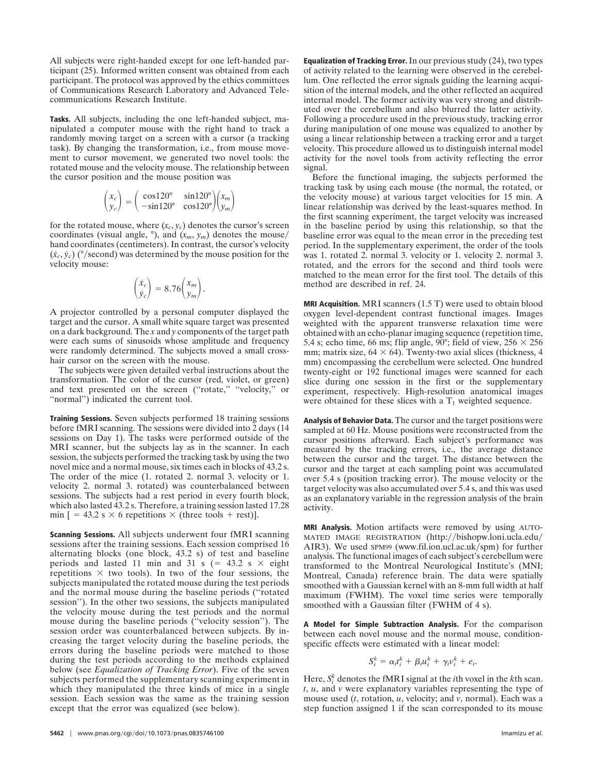All subjects were right-handed except for one left-handed participant (25). Informed written consent was obtained from each participant. The protocol was approved by the ethics committees of Communications Research Laboratory and Advanced Telecommunications Research Institute.

**Tasks.** All subjects, including the one left-handed subject, manipulated a computer mouse with the right hand to track a randomly moving target on a screen with a cursor (a tracking task). By changing the transformation, i.e., from mouse movement to cursor movement, we generated two novel tools: the rotated mouse and the velocity mouse. The relationship between the cursor position and the mouse position was

$$
\begin{pmatrix} x_c \\ y_c \end{pmatrix} = \begin{pmatrix} \cos 120^\circ & \sin 120^\circ \\ -\sin 120^\circ & \cos 120^\circ \end{pmatrix} \begin{pmatrix} x_m \\ y_m \end{pmatrix}
$$

for the rotated mouse, where  $(x_c, y_c)$  denotes the cursor's screen coordinates (visual angle,  $\degree$ ), and  $(x_m, y_m)$  denotes the mouse/ hand coordinates (centimeters). In contrast, the cursor's velocity  $(\dot{x}_c, \dot{y}_c)$  ( $\degree$ /second) was determined by the mouse position for the velocity mouse:

$$
\begin{pmatrix} \dot{x}_c \\ \dot{y}_c \end{pmatrix} = 8.76 \begin{pmatrix} x_m \\ y_m \end{pmatrix}.
$$

A projector controlled by a personal computer displayed the target and the cursor. A small white square target was presented on a dark background. The *x* and *y* components of the target path were each sums of sinusoids whose amplitude and frequency were randomly determined. The subjects moved a small crosshair cursor on the screen with the mouse.

The subjects were given detailed verbal instructions about the transformation. The color of the cursor (red, violet, or green) and text presented on the screen ("rotate," "velocity," or ''normal'') indicated the current tool.

**Training Sessions.** Seven subjects performed 18 training sessions before fMRI scanning. The sessions were divided into 2 days (14 sessions on Day 1). The tasks were performed outside of the MRI scanner, but the subjects lay as in the scanner. In each session, the subjects performed the tracking task by using the two novel mice and a normal mouse, six times each in blocks of 43.2 s. The order of the mice (1. rotated 2. normal 3. velocity or 1. velocity 2. normal 3. rotated) was counterbalanced between sessions. The subjects had a rest period in every fourth block, which also lasted 43.2 s. Therefore, a training session lasted 17.28  $\min$  [ = 43.2 s  $\times$  6 repetitions  $\times$  (three tools + rest)].

**Scanning Sessions.** All subjects underwent four fMRI scanning sessions after the training sessions. Each session comprised 16 alternating blocks (one block, 43.2 s) of test and baseline periods and lasted 11 min and 31 s (= 43.2 s  $\times$  eight repetitions  $\times$  two tools). In two of the four sessions, the subjects manipulated the rotated mouse during the test periods and the normal mouse during the baseline periods (''rotated session''). In the other two sessions, the subjects manipulated the velocity mouse during the test periods and the normal mouse during the baseline periods (''velocity session''). The session order was counterbalanced between subjects. By increasing the target velocity during the baseline periods, the errors during the baseline periods were matched to those during the test periods according to the methods explained below (see *Equalization of Tracking Error*). Five of the seven subjects performed the supplementary scanning experiment in which they manipulated the three kinds of mice in a single session. Each session was the same as the training session except that the error was equalized (see below).

**Equalization of Tracking Error.**In our previous study (24), two types of activity related to the learning were observed in the cerebellum. One reflected the error signals guiding the learning acquisition of the internal models, and the other reflected an acquired internal model. The former activity was very strong and distributed over the cerebellum and also blurred the latter activity. Following a procedure used in the previous study, tracking error during manipulation of one mouse was equalized to another by using a linear relationship between a tracking error and a target velocity. This procedure allowed us to distinguish internal model activity for the novel tools from activity reflecting the error signal.

Before the functional imaging, the subjects performed the tracking task by using each mouse (the normal, the rotated, or the velocity mouse) at various target velocities for 15 min. A linear relationship was derived by the least-squares method. In the first scanning experiment, the target velocity was increased in the baseline period by using this relationship, so that the baseline error was equal to the mean error in the preceding test period. In the supplementary experiment, the order of the tools was 1. rotated 2. normal 3. velocity or 1. velocity 2. normal 3. rotated, and the errors for the second and third tools were matched to the mean error for the first tool. The details of this method are described in ref. 24.

**MRI Acquisition.** MRI scanners (1.5 T) were used to obtain blood oxygen level-dependent contrast functional images. Images weighted with the apparent transverse relaxation time were obtained with an echo-planar imaging sequence (repetition time, 5.4 s; echo time, 66 ms; flip angle, 90°; field of view,  $256 \times 256$ mm; matrix size,  $64 \times 64$ ). Twenty-two axial slices (thickness, 4 mm) encompassing the cerebellum were selected. One hundred twenty-eight or 192 functional images were scanned for each slice during one session in the first or the supplementary experiment, respectively. High-resolution anatomical images were obtained for these slices with a  $T_1$  weighted sequence.

**Analysis of Behavior Data.** The cursor and the target positions were sampled at 60 Hz. Mouse positions were reconstructed from the cursor positions afterward. Each subject's performance was measured by the tracking errors, i.e., the average distance between the cursor and the target. The distance between the cursor and the target at each sampling point was accumulated over 5.4 s (position tracking error). The mouse velocity or the target velocity was also accumulated over 5.4 s, and this was used as an explanatory variable in the regression analysis of the brain activity.

**MRI Analysis.** Motion artifacts were removed by using AUTO-MATED IMAGE REGISTRATION (http://bishopw.loni.ucla.edu/ AIR3). We used SPM99 (www.fil.ion.ucl.ac.uk/spm) for further analysis. The functional images of each subject's cerebellum were transformed to the Montreal Neurological Institute's (MNI; Montreal, Canada) reference brain. The data were spatially smoothed with a Gaussian kernel with an 8-mm full width at half maximum (FWHM). The voxel time series were temporally smoothed with a Gaussian filter (FWHM of 4 s).

**A Model for Simple Subtraction Analysis.** For the comparison between each novel mouse and the normal mouse, conditionspecific effects were estimated with a linear model:

$$
S_i^k = \alpha_i t_i^k + \beta_i u_i^k + \gamma_i v_i^k + e_i.
$$

Here,  $S_i^k$  denotes the fMRI signal at the *i*th voxel in the *k*th scan. *t*, *u*, and *v* were explanatory variables representing the type of mouse used (*t*, rotation, *u*, velocity; and *v*, normal). Each was a step function assigned 1 if the scan corresponded to its mouse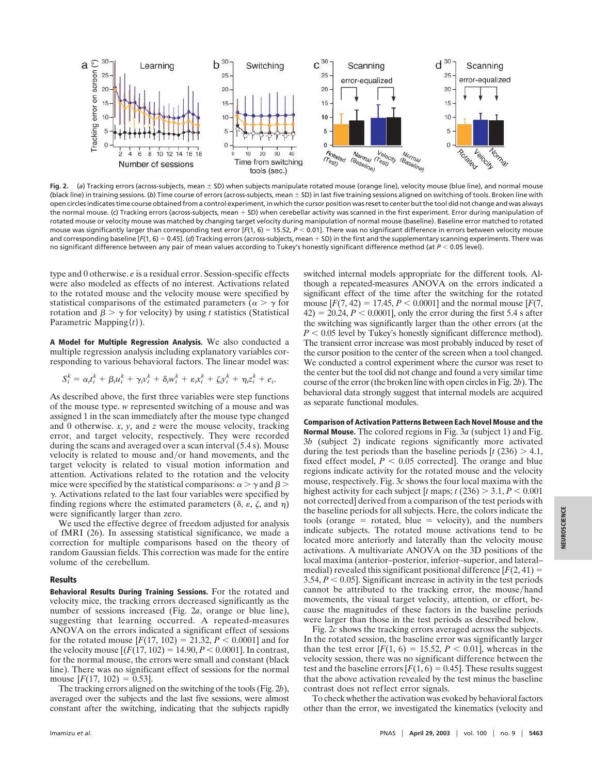

Fig. 2. (a) Tracking errors (across-subjects, mean  $\pm$  SD) when subjects manipulate rotated mouse (orange line), velocity mouse (blue line), and normal mouse (black line) in training sessions. (b) Time course of errors (across-subjects, mean  $\pm$  SD) in last five training sessions aligned on switching of tools. Broken line with open circles indicates time course obtained from a control experiment, in which the cursor position was reset to center but the tool did not change and was always the normal mouse. (c) Tracking errors (across-subjects, mean + SD) when cerebellar activity was scanned in the first experiment. Error during manipulation of rotated mouse or velocity mouse was matched by changing target velocity during manipulation of normal mouse (baseline). Baseline error matched to rotated mouse was significantly larger than corresponding test error [F(1, 6) = 15.52, P < 0.01]. There was no significant difference in errors between velocity mouse and corresponding baseline [*F*(1, 6) = 0.45]. (*d*) Tracking errors (across-subjects, mean + SD) in the first and the supplementary scanning experiments. There was no significant difference between any pair of mean values according to Tukey's honestly significant difference method (at  $P < 0.05$  level).

type and 0 otherwise. *e* is a residual error. Session-specific effects were also modeled as effects of no interest. Activations related to the rotated mouse and the velocity mouse were specified by statistical comparisons of the estimated parameters ( $\alpha > \gamma$  for rotation and  $\beta > \gamma$  for velocity) by using *t* statistics (Statistical Parametric Mapping{*t*}).

**A Model for Multiple Regression Analysis.** We also conducted a multiple regression analysis including explanatory variables corresponding to various behavioral factors. The linear model was:

$$
S_i^k = \alpha_i t_i^k + \beta_i u_i^k + \gamma_i v_i^k + \delta_i w_i^k + \varepsilon_i x_i^k + \zeta_i y_i^k + \eta_i z_i^k + e_i.
$$

As described above, the first three variables were step functions of the mouse type. *w* represented switching of a mouse and was assigned 1 in the scan immediately after the mouse type changed and 0 otherwise. *x*, *y*, and *z* were the mouse velocity, tracking error, and target velocity, respectively. They were recorded during the scans and averaged over a scan interval (5.4 s). Mouse velocity is related to mouse and/or hand movements, and the target velocity is related to visual motion information and attention. Activations related to the rotation and the velocity mice were specified by the statistical comparisons:  $\alpha > \gamma$  and  $\beta >$  $\gamma$ . Activations related to the last four variables were specified by finding regions where the estimated parameters ( $\delta$ ,  $\varepsilon$ ,  $\zeta$ , and  $\eta$ ) were significantly larger than zero.

We used the effective degree of freedom adjusted for analysis of fMRI (26). In assessing statistical significance, we made a correction for multiple comparisons based on the theory of random Gaussian fields. This correction was made for the entire volume of the cerebellum.

### **Results**

**Behavioral Results During Training Sessions.** For the rotated and velocity mice, the tracking errors decreased significantly as the number of sessions increased (Fig. 2*a*, orange or blue line), suggesting that learning occurred. A repeated-measures ANOVA on the errors indicated a significant effect of sessions for the rotated mouse  $[F(17, 102) = 21.32, P \le 0.0001]$  and for the velocity mouse  $[(F(17, 102) = 14.90, P < 0.0001]$ . In contrast, for the normal mouse, the errors were small and constant (black line). There was no significant effect of sessions for the normal mouse  $[F(17, 102) = 0.53]$ .

The tracking errors aligned on the switching of the tools (Fig. 2*b*), averaged over the subjects and the last five sessions, were almost constant after the switching, indicating that the subjects rapidly switched internal models appropriate for the different tools. Although a repeated-measures ANOVA on the errors indicated a significant effect of the time after the switching for the rotated mouse  $[F(7, 42) = 17.45, P < 0.0001]$  and the normal mouse  $[F(7, 42)]$  $(42) = 20.24, P < 0.0001$ , only the error during the first 5.4 s after the switching was significantly larger than the other errors (at the  $P < 0.05$  level by Tukey's honestly significant difference method). The transient error increase was most probably induced by reset of the cursor position to the center of the screen when a tool changed. We conducted a control experiment where the cursor was reset to the center but the tool did not change and found a very similar time course of the error (the broken line with open circles in Fig. 2*b*). The behavioral data strongly suggest that internal models are acquired as separate functional modules.

#### **Comparison of Activation Patterns Between Each Novel Mouse and the**

**Normal Mouse.** The colored regions in Fig. 3*a* (subject 1) and Fig. 3*b* (subject 2) indicate regions significantly more activated during the test periods than the baseline periods  $\left[\frac{t(236)}{24.1}\right]$ , fixed effect model,  $P < 0.05$  corrected. The orange and blue regions indicate activity for the rotated mouse and the velocity mouse, respectively. Fig. 3*c* shows the four local maxima with the highest activity for each subject [*t* maps;  $t$  (236)  $>$  3.1,  $P$  < 0.001 not corrected] derived from a comparison of the test periods with the baseline periods for all subjects. Here, the colors indicate the  $tools$  (orange = rotated, blue = velocity), and the numbers indicate subjects. The rotated mouse activations tend to be located more anteriorly and laterally than the velocity mouse activations. A multivariate ANOVA on the 3D positions of the local maxima (anterior–posterior, inferior–superior, and lateral– medial) revealed this significant positional difference  $[F(2, 41) =$ 3.54,  $P < 0.05$ ]. Significant increase in activity in the test periods cannot be attributed to the tracking error, the mouse/hand movements, the visual target velocity, attention, or effort, because the magnitudes of these factors in the baseline periods were larger than those in the test periods as described below.

Fig. 2*c* shows the tracking errors averaged across the subjects. In the rotated session, the baseline error was significantly larger than the test error  $[F(1, 6) = 15.52, P < 0.01]$ , whereas in the velocity session, there was no significant difference between the test and the baseline errors  $[F(1, 6) = 0.45]$ . These results suggest that the above activation revealed by the test minus the baseline contrast does not reflect error signals.

To check whether the activation was evoked by behavioral factors other than the error, we investigated the kinematics (velocity and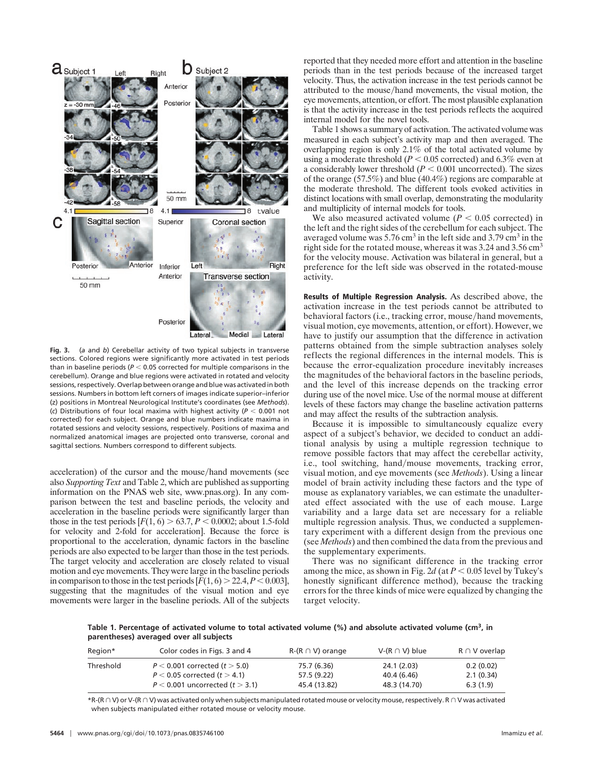

**Fig. 3.** (*a* and *b*) Cerebellar activity of two typical subjects in transverse sections. Colored regions were significantly more activated in test periods than in baseline periods ( $P < 0.05$  corrected for multiple comparisons in the cerebellum). Orange and blue regions were activated in rotated and velocity sessions, respectively. Overlap between orange and blue was activated in both sessions. Numbers in bottom left corners of images indicate superior–inferior (z) positions in Montreal Neurological Institute's coordinates (see *Methods*). (*c*) Distributions of four local maxima with highest activity ( $P < 0.001$  not corrected) for each subject. Orange and blue numbers indicate maxima in rotated sessions and velocity sessions, respectively. Positions of maxima and normalized anatomical images are projected onto transverse, coronal and sagittal sections. Numbers correspond to different subjects.

acceleration) of the cursor and the mouse/hand movements (see also *Supporting Text* and Table 2, which are published as supporting information on the PNAS web site, www.pnas.org). In any comparison between the test and baseline periods, the velocity and acceleration in the baseline periods were significantly larger than those in the test periods  $[F(1, 6) > 63.7, P < 0.0002$ ; about 1.5-fold for velocity and 2-fold for acceleration]. Because the force is proportional to the acceleration, dynamic factors in the baseline periods are also expected to be larger than those in the test periods. The target velocity and acceleration are closely related to visual motion and eye movements. They were large in the baseline periods in comparison to those in the test periods  $[F(1, 6) > 22.4, P < 0.003]$ , suggesting that the magnitudes of the visual motion and eye movements were larger in the baseline periods. All of the subjects reported that they needed more effort and attention in the baseline periods than in the test periods because of the increased target velocity. Thus, the activation increase in the test periods cannot be attributed to the mouse/hand movements, the visual motion, the eye movements, attention, or effort. The most plausible explanation is that the activity increase in the test periods reflects the acquired internal model for the novel tools.

Table 1 shows a summary of activation. The activated volume was measured in each subject's activity map and then averaged. The overlapping region is only 2.1% of the total activated volume by using a moderate threshold ( $P < 0.05$  corrected) and 6.3% even at a considerably lower threshold  $(P < 0.001$  uncorrected). The sizes of the orange (57.5%) and blue (40.4%) regions are comparable at the moderate threshold. The different tools evoked activities in distinct locations with small overlap, demonstrating the modularity and multiplicity of internal models for tools.

We also measured activated volume ( $P < 0.05$  corrected) in the left and the right sides of the cerebellum for each subject. The averaged volume was  $5.76 \text{ cm}^3$  in the left side and  $3.79 \text{ cm}^3$  in the right side for the rotated mouse, whereas it was 3.24 and 3.56 cm<sup>3</sup> for the velocity mouse. Activation was bilateral in general, but a preference for the left side was observed in the rotated-mouse activity.

**Results of Multiple Regression Analysis.** As described above, the activation increase in the test periods cannot be attributed to behavioral factors (i.e., tracking error, mouse/hand movements, visual motion, eye movements, attention, or effort). However, we have to justify our assumption that the difference in activation patterns obtained from the simple subtraction analyses solely reflects the regional differences in the internal models. This is because the error-equalization procedure inevitably increases the magnitudes of the behavioral factors in the baseline periods, and the level of this increase depends on the tracking error during use of the novel mice. Use of the normal mouse at different levels of these factors may change the baseline activation patterns and may affect the results of the subtraction analysis.

Because it is impossible to simultaneously equalize every aspect of a subject's behavior, we decided to conduct an additional analysis by using a multiple regression technique to remove possible factors that may affect the cerebellar activity, i.e., tool switching, hand/mouse movements, tracking error, visual motion, and eye movements (see *Methods*). Using a linear model of brain activity including these factors and the type of mouse as explanatory variables, we can estimate the unadulterated effect associated with the use of each mouse. Large variability and a large data set are necessary for a reliable multiple regression analysis. Thus, we conducted a supplementary experiment with a different design from the previous one (see *Methods*) and then combined the data from the previous and the supplementary experiments.

There was no significant difference in the tracking error among the mice, as shown in Fig. 2d (at  $P < 0.05$  level by Tukey's honestly significant difference method), because the tracking errors for the three kinds of mice were equalized by changing the target velocity.

**Table 1. Percentage of activated volume to total activated volume (%) and absolute activated volume (cm3, in parentheses) averaged over all subjects**

| Region*   | Color codes in Figs. 3 and 4          | $R-(R \cap V)$ orange | $V-(R \cap V)$ blue | $R \cap V$ overlap |
|-----------|---------------------------------------|-----------------------|---------------------|--------------------|
| Threshold | $P < 0.001$ corrected ( $t > 5.0$ )   | 75.7 (6.36)           | 24.1 (2.03)         | 0.2(0.02)          |
|           | $P < 0.05$ corrected ( $t > 4.1$ )    | 57.5 (9.22)           | 40.4 (6.46)         | 2.1(0.34)          |
|           | $P < 0.001$ uncorrected ( $t > 3.1$ ) | 45.4 (13.82)          | 48.3 (14.70)        | 6.3(1.9)           |

\*R-(R  $\cap$  V) or V-(R  $\cap$  V) was activated only when subjects manipulated rotated mouse or velocity mouse, respectively. R  $\cap$  V was activated when subjects manipulated either rotated mouse or velocity mouse.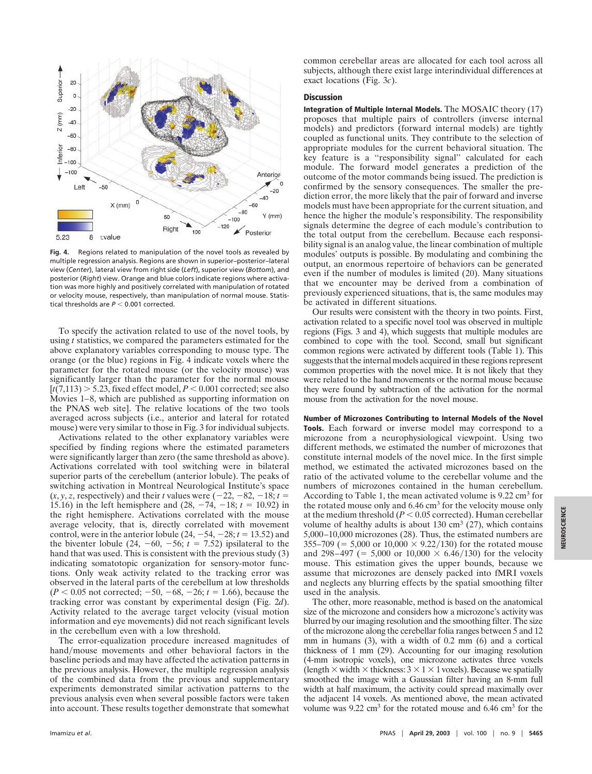

**Fig. 4.** Regions related to manipulation of the novel tools as revealed by multiple regression analysis. Regions are shown in superior–posterior–lateral view (*Center*), lateral view from right side (*Left*), superior view (*Bottom*), and posterior (*Right*) view. Orange and blue colors indicate regions where activation was more highly and positively correlated with manipulation of rotated or velocity mouse, respectively, than manipulation of normal mouse. Statistical thresholds are  $P < 0.001$  corrected.

To specify the activation related to use of the novel tools, by using *t* statistics, we compared the parameters estimated for the above explanatory variables corresponding to mouse type. The orange (or the blue) regions in Fig. 4 indicate voxels where the parameter for the rotated mouse (or the velocity mouse) was significantly larger than the parameter for the normal mouse  $[t(7,113) > 5.23$ , fixed effect model,  $P < 0.001$  corrected; see also Movies 1–8, which are published as supporting information on the PNAS web site]. The relative locations of the two tools averaged across subjects (i.e., anterior and lateral for rotated mouse) were very similar to those in Fig. 3 for individual subjects.

Activations related to the other explanatory variables were specified by finding regions where the estimated parameters were significantly larger than zero (the same threshold as above). Activations correlated with tool switching were in bilateral superior parts of the cerebellum (anterior lobule). The peaks of switching activation in Montreal Neurological Institute's space  $(x, y, z,$  respectively) and their *t* values were  $(-22, -82, -18; t =$ 15.16) in the left hemisphere and  $(28, -74, -18; t = 10.92)$  in the right hemisphere. Activations correlated with the mouse average velocity, that is, directly correlated with movement control, were in the anterior lobule  $(24, -54, -28; t = 13.52)$  and the biventer lobule  $(24, -60, -56; t = 7.52)$  ipsilateral to the hand that was used. This is consistent with the previous study (3) indicating somatotopic organization for sensory-motor functions. Only weak activity related to the tracking error was observed in the lateral parts of the cerebellum at low thresholds  $(P < 0.05$  not corrected;  $-50, -68, -26; t = 1.66$ ), because the tracking error was constant by experimental design (Fig. 2*d*). Activity related to the average target velocity (visual motion information and eye movements) did not reach significant levels in the cerebellum even with a low threshold.

The error-equalization procedure increased magnitudes of hand/mouse movements and other behavioral factors in the baseline periods and may have affected the activation patterns in the previous analysis. However, the multiple regression analysis of the combined data from the previous and supplementary experiments demonstrated similar activation patterns to the previous analysis even when several possible factors were taken into account. These results together demonstrate that somewhat common cerebellar areas are allocated for each tool across all subjects, although there exist large interindividual differences at exact locations (Fig. 3*c*).

## **Discussion**

**Integration of Multiple Internal Models.** The MOSAIC theory (17) proposes that multiple pairs of controllers (inverse internal models) and predictors (forward internal models) are tightly coupled as functional units. They contribute to the selection of appropriate modules for the current behavioral situation. The key feature is a ''responsibility signal'' calculated for each module. The forward model generates a prediction of the outcome of the motor commands being issued. The prediction is confirmed by the sensory consequences. The smaller the prediction error, the more likely that the pair of forward and inverse models must have been appropriate for the current situation, and hence the higher the module's responsibility. The responsibility signals determine the degree of each module's contribution to the total output from the cerebellum. Because each responsibility signal is an analog value, the linear combination of multiple modules' outputs is possible. By modulating and combining the output, an enormous repertoire of behaviors can be generated even if the number of modules is limited (20). Many situations that we encounter may be derived from a combination of previously experienced situations, that is, the same modules may be activated in different situations.

Our results were consistent with the theory in two points. First, activation related to a specific novel tool was observed in multiple regions (Figs. 3 and 4), which suggests that multiple modules are combined to cope with the tool. Second, small but significant common regions were activated by different tools (Table 1). This suggests that the internal models acquired in these regions represent common properties with the novel mice. It is not likely that they were related to the hand movements or the normal mouse because they were found by subtraction of the activation for the normal mouse from the activation for the novel mouse.

**Number of Microzones Contributing to Internal Models of the Novel Tools.** Each forward or inverse model may correspond to a microzone from a neurophysiological viewpoint. Using two different methods, we estimated the number of microzones that constitute internal models of the novel mice. In the first simple method, we estimated the activated microzones based on the ratio of the activated volume to the cerebellar volume and the numbers of microzones contained in the human cerebellum. According to Table 1, the mean activated volume is  $9.22 \text{ cm}^3$  for the rotated mouse only and 6.46 cm<sup>3</sup> for the velocity mouse only at the medium threshold  $(P < 0.05$  corrected). Human cerebellar volume of healthy adults is about 130  $\text{cm}^3$  (27), which contains 5,000–10,000 microzones (28). Thus, the estimated numbers are 355–709 (= 5,000 or  $10,000 \times 9.22/130$ ) for the rotated mouse and 298–497 (= 5,000 or  $10,000 \times 6.46/130$ ) for the velocity mouse. This estimation gives the upper bounds, because we assume that microzones are densely packed into fMRI voxels and neglects any blurring effects by the spatial smoothing filter used in the analysis.

The other, more reasonable, method is based on the anatomical size of the microzone and considers how a microzone's activity was blurred by our imaging resolution and the smoothing filter. The size of the microzone along the cerebellar folia ranges between 5 and 12 mm in humans (3), with a width of 0.2 mm (6) and a cortical thickness of 1 mm (29). Accounting for our imaging resolution (4-mm isotropic voxels), one microzone activates three voxels (length  $\times$  width  $\times$  thickness:  $3 \times 1 \times 1$  voxels). Because we spatially smoothed the image with a Gaussian filter having an 8-mm full width at half maximum, the activity could spread maximally over the adjacent 14 voxels. As mentioned above, the mean activated volume was 9.22 cm3 for the rotated mouse and 6.46 cm3 for the